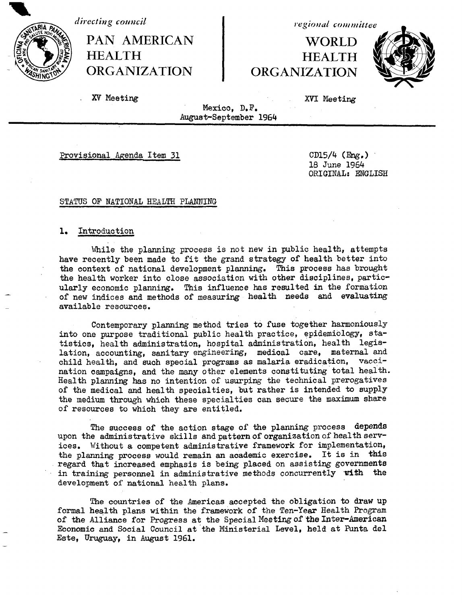*directing council*

PAN AMERICAN | WORLD HEALTH **HEALTH ORGANIZATION ORGANIZATION**

*r egional commiliittee*



XV Meeting XVI Meeting

Mexico, D.F. August-September 1964

Provisional Agenda Item 31 CD15/4 (Eng.)

18 June 1964 ORIGINAL: ENGLISH

#### STATUS OF NATIONAL HEALTH PLANTING

#### 1. Introduction

While the planning process is not new in public health, attempts have recently been made to fit the grand strategy of health better into the context of national development planning. This process has brought the health worker into close association with other disciplines, particularly economic planning. This influence has resulted in the formation of new indices and methods of measuring health needs and evaluating available resources.

Contemporary planning method tries to fuse together harmoniously into one purpose traditional public health practice, epidemiology, statistics, health administration, hospital administration, health legislation, accounting, sanitary engineering, medical care, maternal and child health, and such special programs as malaria eradication, vaccination campaigns, and the many other elements constituting total health. Health planning has no intention of usurping the technical prerogatives of the medical and health specialties, but rather is intended to supply the medium through which these specialties can secure the maximum share of resources to which they are entitled.

The success of the action stage of the planning process depends upon the administrative skills and pattern of organization of health services. Without a competent administrative framework for implementation, the planning process would remain an academic exercise. It is in this regard that increased emphasis is being placed on assisting governments in training personnel in administrative methods concurrently with the development of national health plans.

The countries of the Americas accepted the obligation to draw up formal health plans within the framework of the Ten-Year Health Program of the Alliance for Progress at the Special Meeting of the Inter-American Economic and Social Council at the Ministerial Level, held at Punta del Este, Uruguay, in August 1961.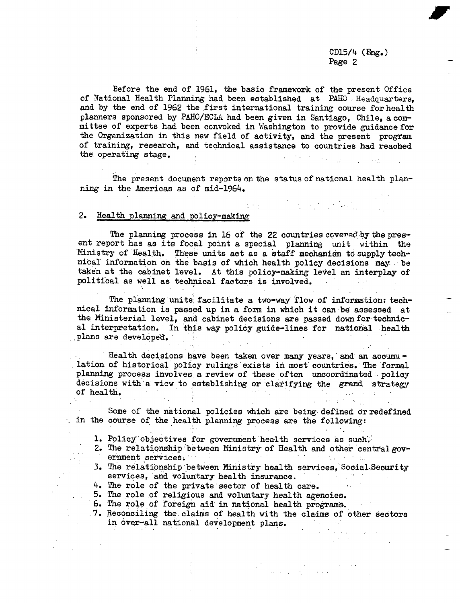$\label{eq:2} \mathcal{L}^{\text{max}}_{\text{max}} = \mathcal{L}^{\text{max}}_{\text{max}} = \mathcal{L}^{\text{max}}_{\text{max}}$ 

Before the end of 1961, the basic framework of the present Office of National Health Planning had been established at PAHO. Headquarters, and by the end of 1962 the first international training course for health planners sponsored by PAHO/ECLA had been given in Santiago, Chile, a committee of experts had been convoked in Washington to provide guidance for the Organization in this new field of activity, and the present program of training, research, and technical assistance to countries had reached the operating stage.

The present document reports on the status of national health planning in the Americas as of mid-1964.

 $\frac{1}{2}$  ,  $\frac{1}{2}$  ,  $\frac{1}{2}$  ,  $\frac{1}{2}$ 

#### 2. Health planning and policy-making

The planning process in 16 of the 22 countries ccvered'by the present report has as its focal point a special planning unit within the Ministry of Health. These units act as a staff mechanism to supply technical information on the basis of which health policy decisions may- be taken at the cabinet level. At this policy-making level an interplay of political as well as technical factors is involved.

The planning-units facilitate a two-way flow of information: technical information is passed up in a form in which it can be assessed at the Ministerial level, and cabinet decisions are passed down for technical interpretation. In this way policy guide-lines for national health plans are developed.

Health decisions have been taken over many years, and an accumulation of historical policy rulings exists in most countries. The formal planning process involves a review of these often uncoordinated policy decisions with' a view to establishing or clarifying the grand strategy of health.

Some of the national policies which are being· defined or redefined in the course of the health planning process are the following:

- 1. Policy' objectives for government health services as such'.
- 2. The relationship between Ministry of Health and other central gov ernment services.  $\mathcal{F}^{\mathcal{G}}_{\mathcal{G}}$  and  $\mathcal{F}^{\mathcal{G}}_{\mathcal{G}}$  and  $\mathcal{F}^{\mathcal{G}}_{\mathcal{G}}$
- 3. The relationship between Ministry health services, Social-Security services, and voluntary health insurance.
- 4. The role of the private sector of health care.
- 5. The role of religious and voluntary health agencies.
- 6. The role of foreign aid in national health programs.
- 7. Reconciling the claims of health with the claims of other sectors in over-all national development plans.

 $\label{eq:2} \mathcal{F}_{\text{intra}} = \frac{1}{\sqrt{2\pi}} \frac{1}{\sqrt{2\pi}} \frac{1}{\sqrt{2\pi}} \frac{1}{\sqrt{2\pi}} \frac{1}{\sqrt{2\pi}} \frac{1}{\sqrt{2\pi}} \frac{1}{\sqrt{2\pi}} \frac{1}{\sqrt{2\pi}} \frac{1}{\sqrt{2\pi}} \frac{1}{\sqrt{2\pi}} \frac{1}{\sqrt{2\pi}} \frac{1}{\sqrt{2\pi}} \frac{1}{\sqrt{2\pi}} \frac{1}{\sqrt{2\pi}} \frac{1}{\sqrt{2\pi}} \frac{1}{\sqrt{2\pi}} \frac{1}{\sqrt{$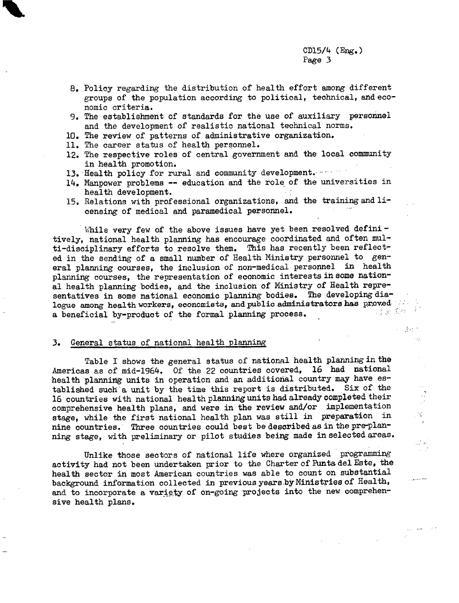4. 建动物  $\alpha_{\rm eff}$ 

V.

 $\mathcal{L}_{\text{max}}$ 

وتشابه والمراري

والمراجين

- 8. Policy regarding the distribution of health effort among different groups of the population according to political, technical, and economic criteria.
- 9. The establishment of standards for the use of auxiliary personnel and the development of realistic national technical norms.
- 10. The review of patterns of administrative organization.
- 11. The career status of health personnel.
- 12. The respective roles of central government and the local community in health promotion.
- 13. Health policy for rural and community development.
- 14. Manpower problems -- education and the role of the universities in health development.
- 15. Relations with professional organizations, and the training and licensing of medical and paramedical personnel.

While very few of the above issues have yet been resolved defini  $$ tively, national health planning has encourage coordinated and often multi-disciplinary efforts to resolve them. This has recently been reflected in the sending of a small number of Health Ministry personnel to general planning courses, the inclusion of non-medical personnel in health planning courses, the representation of economic interests in some national health planning bodies, and the inclusion of Ministry of Health representatives in some national economic planning bodies. The developing dialogue among health workers, economists, and public administrators has proved  $\mathcal{L}$ . a beneficial by-product of the formal planning process.

#### 3. General status of national health planning

Table I shows the general status of national health planning in the Americas as of mid-1964. Of the 22 countries covered, 16 had national health planning units in operation and an additional country may have established such a unit by the time this report is distributed. Six of the 16 countries with national health planning units had already completed their comprehensive health plans, and were in the review and/or implementation stage, while the first national health plan was still in preparation in nine countries. Three countries could best be described as in the pre-planning stage, with preliminary or pilot studies being made in selected areas.

Unlike those sectors of national life where organized programming activity had not been undertaken prior to the Charter of Puntadel Este, the health sector in most American countries was able to count on substantial background information collected in previous years by Ministries of Health, and to incorporate a variety of on-going projects into the new comprehensive health plans.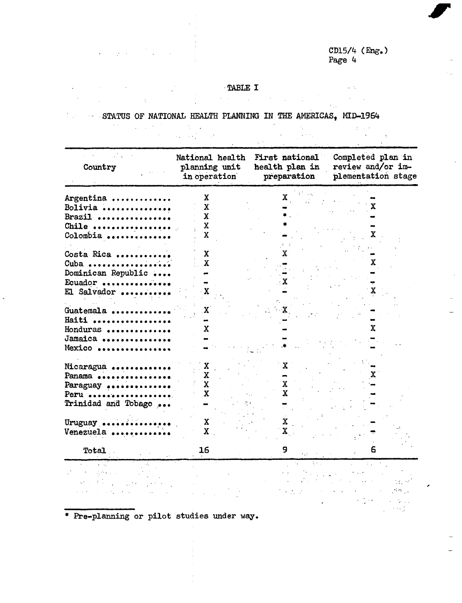$\sim 10^{11}$ 

 $\sim 10$ 

# TABLE I

STATUS OF NATIONAL HEALTH PLANNING IN THE AMERICAS, MID-1964

 $\sim 10^{-10}$ 

 $\mathcal{A}^{\mathcal{A}}$  and  $\mathcal{A}^{\mathcal{A}}$  are  $\mathcal{A}^{\mathcal{A}}$  .

 $\ddot{\phantom{a}}$ 

 $\sim 10^{11}$  km  $^{-1}$ 

 $\mathcal{L}^{\text{max}}$ 

 $\sim 10^{11}$  km s  $^{-1}$ 

| Country             | National health<br>First national<br>planning unit<br>health plan in<br>preparation<br>in operation |                           | Completed plan in<br>review and/or im-<br>plementation stage |  |
|---------------------|-----------------------------------------------------------------------------------------------------|---------------------------|--------------------------------------------------------------|--|
|                     |                                                                                                     |                           |                                                              |  |
| Argentina           | x                                                                                                   |                           |                                                              |  |
| Bolivia             | X                                                                                                   |                           | X                                                            |  |
| Brazil              | X                                                                                                   |                           |                                                              |  |
|                     | $\mathbf x$                                                                                         |                           |                                                              |  |
| Chile               | X                                                                                                   |                           |                                                              |  |
| Colombia            |                                                                                                     |                           |                                                              |  |
|                     |                                                                                                     |                           |                                                              |  |
| Costa Rica          | X                                                                                                   |                           |                                                              |  |
| Cuba                | Х                                                                                                   |                           | Х.                                                           |  |
| Dominican Republic  |                                                                                                     |                           |                                                              |  |
| Ecuador             |                                                                                                     |                           |                                                              |  |
| El Salvador         | X                                                                                                   |                           |                                                              |  |
|                     |                                                                                                     |                           |                                                              |  |
| Guatemala           | $\mathbf{x}$                                                                                        |                           |                                                              |  |
| Haiti               |                                                                                                     |                           |                                                              |  |
| Honduras            | x                                                                                                   |                           | x                                                            |  |
| Jamaica             |                                                                                                     |                           |                                                              |  |
| Mexico              |                                                                                                     |                           |                                                              |  |
|                     |                                                                                                     |                           |                                                              |  |
| Nicaragua           | X                                                                                                   |                           |                                                              |  |
| Panama              | X.                                                                                                  |                           |                                                              |  |
|                     | $\mathbf{x}$                                                                                        | X.                        |                                                              |  |
| Paraguay<br>Peru    | $\mathbf x$                                                                                         | $\mathbf{x}$              |                                                              |  |
|                     |                                                                                                     |                           |                                                              |  |
| Trinidad and Tobago |                                                                                                     |                           |                                                              |  |
|                     |                                                                                                     |                           |                                                              |  |
| Uruguay             | X                                                                                                   | X.                        |                                                              |  |
| Venezuela           | $\mathbf x$                                                                                         | $\mathbf{X}_{\text{max}}$ |                                                              |  |
|                     |                                                                                                     |                           |                                                              |  |
| Total               | 16                                                                                                  | 9                         |                                                              |  |
|                     |                                                                                                     |                           |                                                              |  |
|                     |                                                                                                     |                           |                                                              |  |
|                     |                                                                                                     |                           |                                                              |  |
|                     |                                                                                                     |                           |                                                              |  |
|                     |                                                                                                     |                           |                                                              |  |
|                     |                                                                                                     |                           |                                                              |  |

\* Pre-planning or pilot studies under way.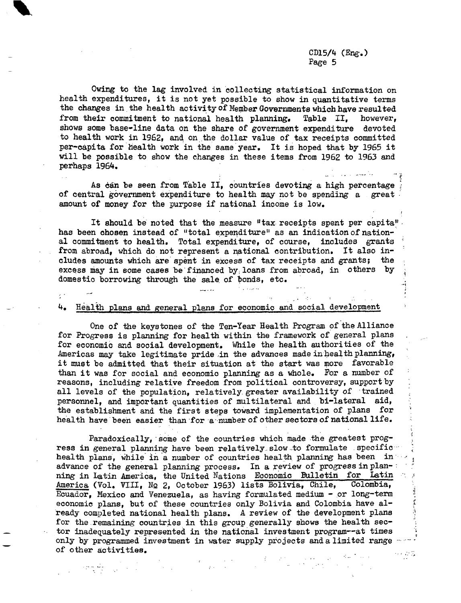Owing to the lag involved in collecting statistical information on health expenditures, it is not yet possible to show in quantitative terms the changes in the health activity of Member Governments which have resulted from their commitment to national health planning. Table II, however, shows some base-line data on the share of government expenditure devoted to health work in 1962, and on the dollar value of tax receipts committed per-capita for health work in the same'year. It is hoped that by 1965 it will be possible to show the changes in these items from 1962 to 1963 and perhaps 1964.

As can be seen from Table II, countries devoting a high percentage of central government expenditure to health may not be spending a great amount of money for the purpose if national income is low.

It should be noted that the measure "tax receipts spent per capita". has been chosen instead of "total expenditure" as an indication of national commitment to health. Total expenditure, of course, includes grants from abroad, which do not represent a national contribution. It also includes amounts which are spent in excess of tax receipts and grants; the excess may in some cases be financed by loans from abroad, in others by domestic borrowing through the sale of bonds, etc.

#### 4. Health plans and general plans for economic and social development

 $\epsilon^{-1}$ 

One of the keystones of the Ten-Year Health Program of the Alliance for Progress is planning for health within the framework of general plans for economic and social development. While the health authorities of the Americas may take legitimate pride in the advances made in health planning, it must be admitted that their situation at the start was more favorable than it was for social and economic planning as a whole. For a number of reasons, including relative freedom from political controversy, support by all levels of the population, relatively greater availability of trained personnel, and important quantities of multilateral and bi-lateral aid, the establishment and the first steps toward implementation of plans for health have been easier than for a number of other sectors of national life.

Paradoxically, some of the countries which made the greatest progress in general planning have been relatively slow to formulate specific ... health plans, while in a number of countries health planning has been in advance of the general planning process. In a review of progress in planning in Latin America, the United Nations Economic Bulletin for Latin America (Vol. VIII, No 2, October 1963) lists Bolivia, Chile, Colombia, Ecuador, Mexico and Venezuela, as having formulated medium - or long-term economic plans, but of these countries only Bolivia and Colombia have already completed national health plans. A review of the development plans for the remaining countries in this group generally shows the health sector inadequately represented in the national investment program--at times only by programmed investment in water supply projects and a limited range ---of other activities.

 $\mathbf{y}$  . The set of  $\mathbf{y}$ 

 $\label{eq:2.1} \begin{split} \mathcal{L}_{\text{max}}(\mathbf{r},\mathbf{r}) = \frac{1}{2} \mathcal{L}_{\text{max}}(\mathbf{r},\mathbf{r}) + \frac{1}{2} \mathcal{L}_{\text{max}}(\mathbf{r},\mathbf{r}) + \frac{1}{2} \mathcal{L}_{\text{max}}(\mathbf{r},\mathbf{r}) \\ & \times \mathcal{L}_{\text{max}}(\mathbf{r},\mathbf{r}) + \frac{1}{2} \mathcal{L}_{\text{max}}(\mathbf{r},\mathbf{r}) + \frac{1}{2} \mathcal{L}_{\text{max}}(\mathbf{r},\mathbf{r}) +$ 

 $\alpha \in \mathbb{Z}/\mathbb{Z}$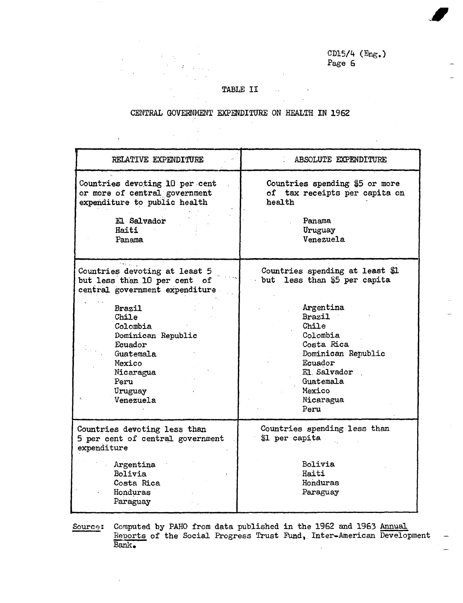#### TABLE II

 $\mathcal{L}$  $\sim 10^{-11}$ 

## CENTRAL GOVERNMENT EXPENDITURE ON HEALTH IN 1962

 $\hat{\mathcal{A}}$ 

 $\sim$  1

 $\ddot{\phantom{a}}$ 

| RELATIVE EXPENDITURE                                                                                                                    | ABSOLUTE EXPENDITURE                                                                                                                                      |  |  |
|-----------------------------------------------------------------------------------------------------------------------------------------|-----------------------------------------------------------------------------------------------------------------------------------------------------------|--|--|
| Countries devoting 10 per cent<br>or more of central government<br>expenditure to public health                                         | Countries spending \$5 or more<br>of tax receipts per capita on<br>health                                                                                 |  |  |
| El Salvador<br>Haiti<br>Panama                                                                                                          | Panama<br>Uruguay<br>Venezuela                                                                                                                            |  |  |
| Countries devoting at least 5<br>but less than 10 per cent of<br>central government expenditure                                         | Countries spending at least \$1<br>but less than \$5 per capita                                                                                           |  |  |
| <b>Brazil</b><br>Chile<br>Colombia<br>Dominican Republic<br>Ecuador<br>Guatemala<br>Mexico<br>Nicaragua<br>Peru<br>Uruguay<br>Venezuela | Argentina<br><b>Brazil</b><br>Chile<br>Colombia<br>Costa Rica<br>Dominican Republic<br>Ecuador<br>El Salvador<br>Guatemala<br>Mexico<br>Nicaragua<br>Peru |  |  |
| Countries devoting less than<br>5 per cent of central government<br>expenditure                                                         | Countries spending less than<br>\$1 per capita                                                                                                            |  |  |
| Argentina<br>Bolivia<br>Costa Rica<br>Honduras<br>Paraguay                                                                              | <b>Bolivia</b><br>Haiti<br>Honduras<br>Paraguay                                                                                                           |  |  |

Source: Computed by PAHO from data published in the 1962 and 1963 Annual Reports of the Social Progress Trust Fund, Inter-American Development Bank.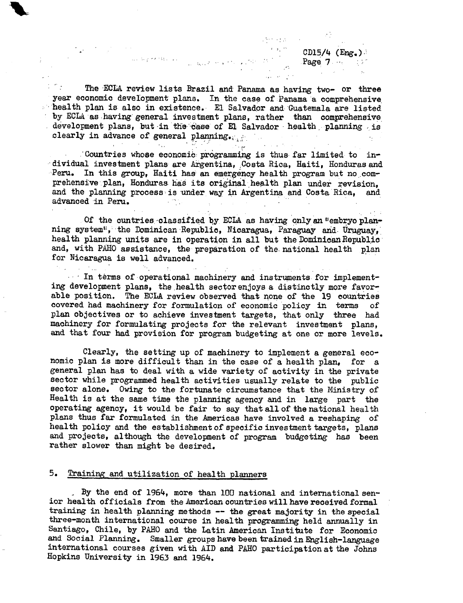CD15/4  $(Eng.)$ <br>Page 7

 $1.5 \times 10^{12}$  M  $_{\odot}$ 

The ECLA review lists Brazil and Panama as having two- or three year economic development plans. In the case of Panama a comprehensive ' health plan is also in existence. El Salvador and Guatemala are listed by ECLA as having' general investment plans, rather than comprehensive development plans, but in the case of El Salvador health planning is clearly in advance of general planning.

 $\mathbb{P}^{\mathcal{M}}_{\mathcal{M}}$  . The superfield  $\mathcal{M}_{\mathcal{M}}$  , and  $\mathcal{M}_{\mathcal{M}}$  . The superfield  $\mathcal{M}_{\mathcal{M}}$ 

.'Countries whose economi: programming is thus far limited to individual investment plans are Argentina, Costa Rica, Haiti, Honduras and Peru. In this group, Haiti has an emergency health program but no comprehensive plan, Honduras has its original health plan under revision, and the planning process is under way in Argentina and Costa Rica, and advanced in Peru.

 $\sim 0.1$  .

 $\mathcal{O}(\mathcal{L}^2)$  and  $\mathcal{O}(\mathcal{L}^2)$ 

Of the cuntries-classified by ECLA as having only an "embryo planning system", the Dominican Republic, Nicaragua, Paraguay and Uruguay, health planning units are in operation in all but the Dominican Republic and, with PAHO assistance, the preparation of the. national health plan for Nicaragua is well advanced.

In terms of operational machinery and instruments for implementing development plans, the health sector enjoys a distinctly more favorable position. The ECLA review observed that none of the 19 countries covered had machinery for formulation of economic policy in terms of plan objectives or to achieve investment targets, that only three had machinery for formulating projects for the relevant investment plans, and that four had provision for program budgeting at one or more levels.

Clearly, the setting up of machinery to implement a general economic plan is more difficult than in the case of a health plan, for a general plan has to deal with a wide variety of activity in the private sector while programmed health activities usually relate to the public sector alone. Owing to the fortunate circumstance that the Ministry of Health is at the same time the planning agency and in large part the operating agency, it would be fair to say that all of the national health plans thus far formulated in the Americas have involved a reshaping of health policy and the establishment of specific investment targets, plans and projects, although the development of program budgeting has been rather slower than might be desired.

#### 5. Training and utilization of health planners

By the end of 1964, more than 100 national and international senior health officials from the American countries will have received formal training in health planning methods -- the great majority in the special three-month international course in health programming held annually in Santiago, Chile, by PAHO and the Latin American Institute for Economic and Social Planning. Smaller groups have been trained in English-language international courses given with AID and PAHO participation at the Johns Hopkins University in 1963 and 1964.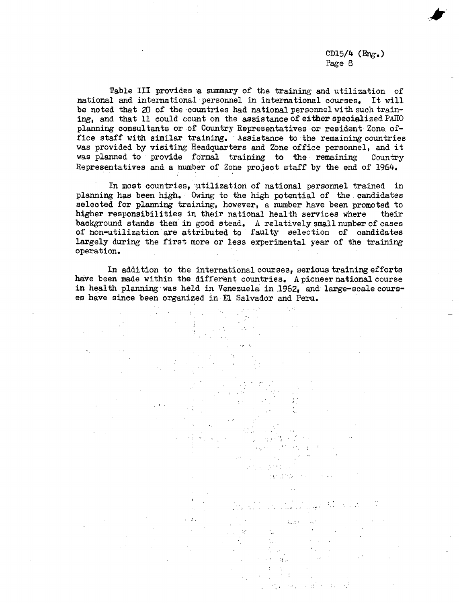Table III provides a summary of the training and utilization of national and international personnel in international courses. It will be noted that 20 of the countries had national personnel with such training, and that 11 could count on the assistance of either specialized PAHO planning consultants or of Country Representatives or resident Zone office staff with similar training. Assistance to the remaining countries was provided by visiting Headquarters and Zone office personnel, and it was planned to provide formal training to the remaining Country Representatives and a number of Zone project staff by the end of 1964.

In most countries, utilization of national personnel trained in planning has been high. Owing to the high potential of the *candidates* selected for planning training, however, a number have been promoted to higher responsibilities in their national health services where their background stands them in good stead. A relatively small number of cases of non-utilization are attributed to faulty selection of candidates largely during the first more or less experimental year of the training operation.

In addition to the international courses, serious training efforts have been made within the different countries, A pioneer national course in health planning was held in Venezuela in 1962, and large-scale courses have since been organized in El Salvador and Peru.

> $\mathcal{L}^{\text{max}}_{\text{max}}$  and  $\mathcal{L}^{\text{max}}_{\text{max}}$

> > n a shekara dan ander

> > > $\label{eq:2.1} \frac{1}{2}\sum_{i=1}^n\frac{1}{2}\sum_{i=1}^n\frac{1}{2}\sum_{i=1}^n\frac{1}{2}\sum_{i=1}^n\frac{1}{2}\sum_{i=1}^n\frac{1}{2}\sum_{i=1}^n\frac{1}{2}\sum_{i=1}^n\frac{1}{2}\sum_{i=1}^n\frac{1}{2}\sum_{i=1}^n\frac{1}{2}\sum_{i=1}^n\frac{1}{2}\sum_{i=1}^n\frac{1}{2}\sum_{i=1}^n\frac{1}{2}\sum_{i=1}^n\frac{1}{2}\sum_{i=1}^n\$

 $\mu$  and a small set  $\mu$  ,  $\mu$ 

 $\{x_{k}\}_{k\in\mathbb{N}}$